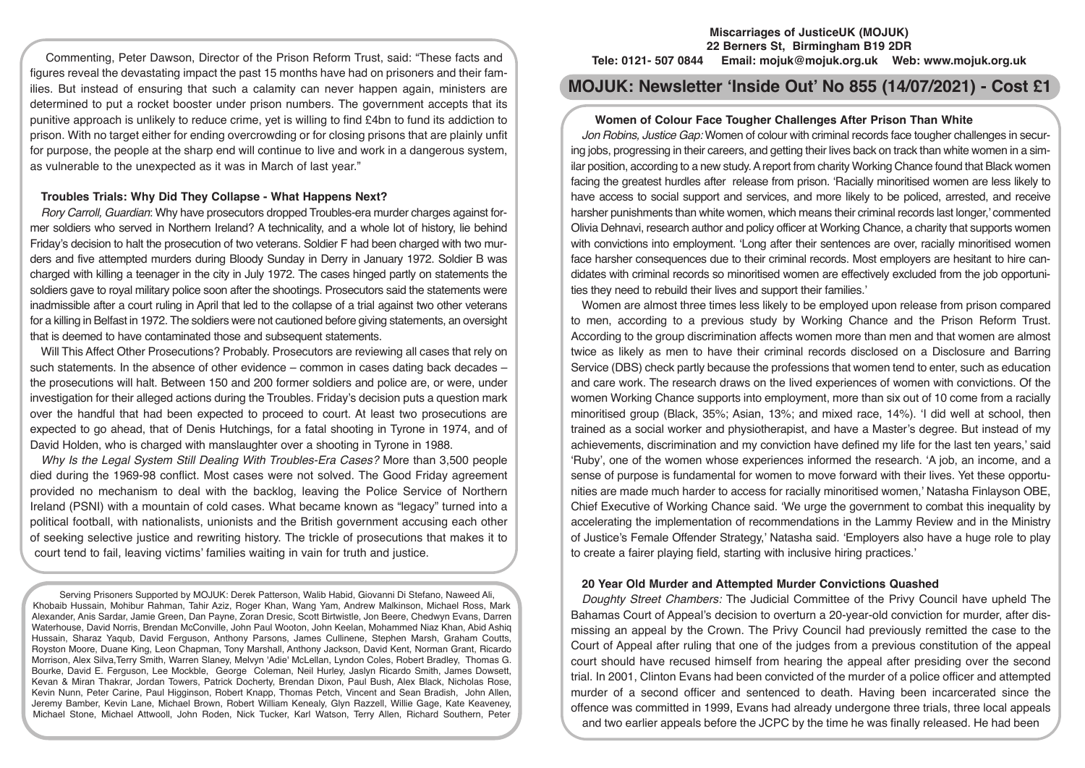Commenting, Peter Dawson, Director of the Prison Reform Trust, said: "These facts and figures reveal the devastating impact the past 15 months have had on prisoners and their families. But instead of ensuring that such a calamity can never happen again, ministers are determined to put a rocket booster under prison numbers. The government accepts that its punitive approach is unlikely to reduce crime, yet is willing to find £4bn to fund its addiction to prison. With no target either for ending overcrowding or for closing prisons that are plainly unfit for purpose, the people at the sharp end will continue to live and work in a dangerous system, as vulnerable to the unexpected as it was in March of last year."

## **Troubles Trials: Why Did They Collapse - What Happens Next?**

*Rory Carroll, Guardian*: Why have prosecutors dropped Troubles-era murder charges against former soldiers who served in Northern Ireland? A technicality, and a whole lot of history, lie behind Friday's decision to halt the prosecution of two veterans. Soldier F had been charged with two murders and five attempted murders during Bloody Sunday in Derry in January 1972. Soldier B was charged with killing a teenager in the city in July 1972. The cases hinged partly on statements the soldiers gave to royal military police soon after the shootings. Prosecutors said the statements were inadmissible after a court ruling in April that led to the collapse of a trial against two other veterans for a killing in Belfast in 1972. The soldiers were not cautioned before giving statements, an oversight that is deemed to have contaminated those and subsequent statements.

Will This Affect Other Prosecutions? Probably. Prosecutors are reviewing all cases that rely on such statements. In the absence of other evidence – common in cases dating back decades – the prosecutions will halt. Between 150 and 200 former soldiers and police are, or were, under investigation for their alleged actions during the Troubles. Friday's decision puts a question mark over the handful that had been expected to proceed to court. At least two prosecutions are expected to go ahead, that of Denis Hutchings, for a fatal shooting in Tyrone in 1974, and of David Holden, who is charged with manslaughter over a shooting in Tyrone in 1988.

*Why Is the Legal System Still Dealing With Troubles-Era Cases?* More than 3,500 people died during the 1969-98 conflict. Most cases were not solved. The Good Friday agreement provided no mechanism to deal with the backlog, leaving the Police Service of Northern Ireland (PSNI) with a mountain of cold cases. What became known as "legacy" turned into a political football, with nationalists, unionists and the British government accusing each other of seeking selective justice and rewriting history. The trickle of prosecutions that makes it to court tend to fail, leaving victims' families waiting in vain for truth and justice.

Serving Prisoners Supported by MOJUK: Derek Patterson, Walib Habid, Giovanni Di Stefano, Naweed Ali, Khobaib Hussain, Mohibur Rahman, Tahir Aziz, Roger Khan, Wang Yam, Andrew Malkinson, Michael Ross, Mark Alexander, Anis Sardar, Jamie Green, Dan Payne, Zoran Dresic, Scott Birtwistle, Jon Beere, Chedwyn Evans, Darren Waterhouse, David Norris, Brendan McConville, John Paul Wooton, John Keelan, Mohammed Niaz Khan, Abid Ashiq Hussain, Sharaz Yaqub, David Ferguson, Anthony Parsons, James Cullinene, Stephen Marsh, Graham Coutts, Royston Moore, Duane King, Leon Chapman, Tony Marshall, Anthony Jackson, David Kent, Norman Grant, Ricardo Morrison, Alex Silva Terry Smith, Warren Slaney, Melyyn 'Adie' McLellan, Lyndon Coles, Robert Bradley, Thomas G. Bourke, David E. Ferguson, Lee Mockble, George Coleman, Neil Hurley, Jaslyn Ricardo Smith, James Dowsett, Kevan & Miran Thakrar, Jordan Towers, Patrick Docherty, Brendan Dixon, Paul Bush, Alex Black, Nicholas Rose, Kevin Nunn, Peter Carine, Paul Higginson, Robert Knapp, Thomas Petch, Vincent and Sean Bradish, John Allen, Jeremy Bamber, Kevin Lane, Michael Brown, Robert William Kenealy, Glyn Razzell, Willie Gage, Kate Keaveney, Michael Stone, Michael Attwooll, John Roden, Nick Tucker, Karl Watson, Terry Allen, Richard Southern, Peter

#### **Miscarriages of JusticeUK (MOJUK) 22 Berners St, Birmingham B19 2DR**

**Tele: 0121- 507 0844 Email: mojuk@mojuk.org.uk Web: www.mojuk.org.uk**

# **MOJUK: Newsletter 'Inside Out' No 855 (14/07/2021) - Cost £1**

# **Women of Colour Face Tougher Challenges After Prison Than White**

*Jon Robins, Justice Gap:* Women of colour with criminal records face tougher challenges in securing jobs, progressing in their careers, and getting their lives back on track than white women in a similar position, according to a new study. A report from charity Working Chance found that Black women facing the greatest hurdles after release from prison. 'Racially minoritised women are less likely to have access to social support and services, and more likely to be policed, arrested, and receive harsher punishments than white women, which means their criminal records last longer,' commented Olivia Dehnavi, research author and policy officer at Working Chance, a charity that supports women with convictions into employment. 'Long after their sentences are over, racially minoritised women face harsher consequences due to their criminal records. Most employers are hesitant to hire candidates with criminal records so minoritised women are effectively excluded from the job opportunities they need to rebuild their lives and support their families.'

Women are almost three times less likely to be employed upon release from prison compared to men, according to a previous study by Working Chance and the Prison Reform Trust. According to the group discrimination affects women more than men and that women are almost twice as likely as men to have their criminal records disclosed on a Disclosure and Barring Service (DBS) check partly because the professions that women tend to enter, such as education and care work. The research draws on the lived experiences of women with convictions. Of the women Working Chance supports into employment, more than six out of 10 come from a racially minoritised group (Black, 35%; Asian, 13%; and mixed race, 14%). 'I did well at school, then trained as a social worker and physiotherapist, and have a Master's degree. But instead of my achievements, discrimination and my conviction have defined my life for the last ten years,' said 'Ruby', one of the women whose experiences informed the research. 'A job, an income, and a sense of purpose is fundamental for women to move forward with their lives. Yet these opportunities are made much harder to access for racially minoritised women,' Natasha Finlayson OBE, Chief Executive of Working Chance said. 'We urge the government to combat this inequality by accelerating the implementation of recommendations in the Lammy Review and in the Ministry of Justice's Female Offender Strategy,' Natasha said. 'Employers also have a huge role to play to create a fairer playing field, starting with inclusive hiring practices.'

## **20 Year Old Murder and Attempted Murder Convictions Quashed**

*Doughty Street Chambers:* The Judicial Committee of the Privy Council have upheld The Bahamas Court of Appeal's decision to overturn a 20-year-old conviction for murder, after dismissing an appeal by the Crown. The Privy Council had previously remitted the case to the Court of Appeal after ruling that one of the judges from a previous constitution of the appeal court should have recused himself from hearing the appeal after presiding over the second trial. In 2001, Clinton Evans had been convicted of the murder of a police officer and attempted murder of a second officer and sentenced to death. Having been incarcerated since the offence was committed in 1999, Evans had already undergone three trials, three local appeals and two earlier appeals before the JCPC by the time he was finally released. He had been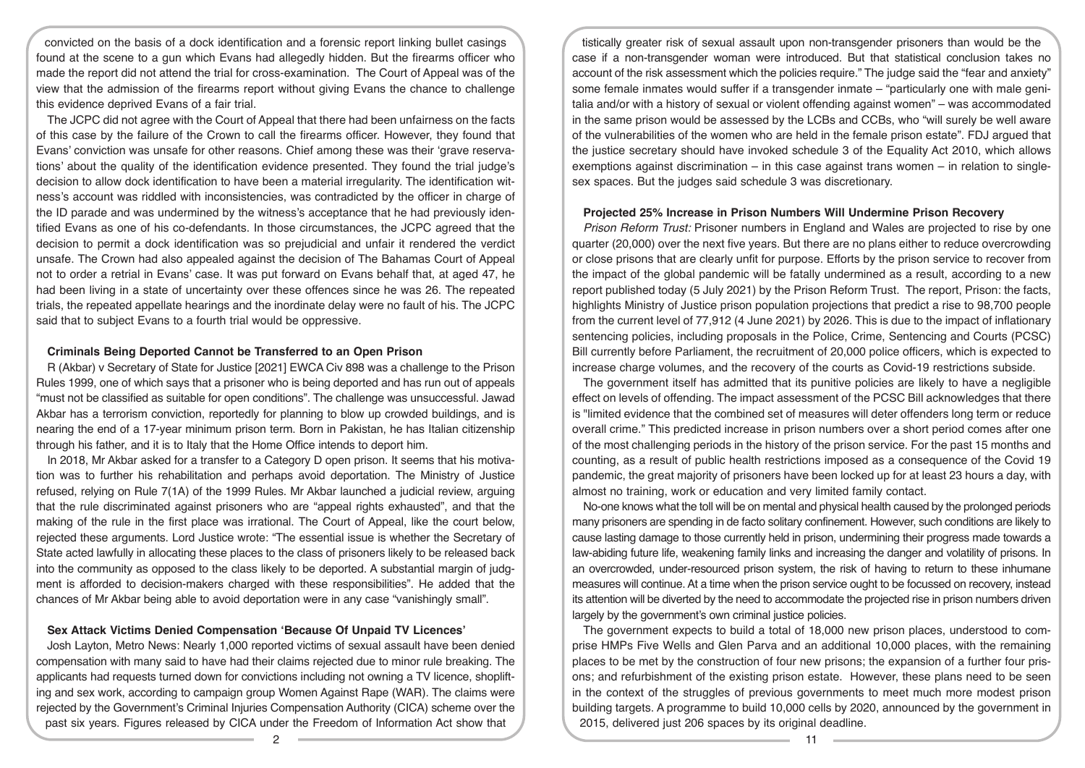convicted on the basis of a dock identification and a forensic report linking bullet casings found at the scene to a gun which Evans had allegedly hidden. But the firearms officer who made the report did not attend the trial for cross-examination. The Court of Appeal was of the view that the admission of the firearms report without giving Evans the chance to challenge this evidence deprived Evans of a fair trial.

The JCPC did not agree with the Court of Appeal that there had been unfairness on the facts of this case by the failure of the Crown to call the firearms officer. However, they found that Evans' conviction was unsafe for other reasons. Chief among these was their 'grave reservations' about the quality of the identification evidence presented. They found the trial judge's decision to allow dock identification to have been a material irregularity. The identification witness's account was riddled with inconsistencies, was contradicted by the officer in charge of the ID parade and was undermined by the witness's acceptance that he had previously identified Evans as one of his co-defendants. In those circumstances, the JCPC agreed that the decision to permit a dock identification was so prejudicial and unfair it rendered the verdict unsafe. The Crown had also appealed against the decision of The Bahamas Court of Appeal not to order a retrial in Evans' case. It was put forward on Evans behalf that, at aged 47, he had been living in a state of uncertainty over these offences since he was 26. The repeated trials, the repeated appellate hearings and the inordinate delay were no fault of his. The JCPC said that to subject Evans to a fourth trial would be oppressive.

# **Criminals Being Deported Cannot be Transferred to an Open Prison**

R (Akbar) v Secretary of State for Justice [2021] EWCA Civ 898 was a challenge to the Prison Rules 1999, one of which says that a prisoner who is being deported and has run out of appeals "must not be classified as suitable for open conditions". The challenge was unsuccessful. Jawad Akbar has a terrorism conviction, reportedly for planning to blow up crowded buildings, and is nearing the end of a 17-year minimum prison term. Born in Pakistan, he has Italian citizenship through his father, and it is to Italy that the Home Office intends to deport him.

In 2018, Mr Akbar asked for a transfer to a Category D open prison. It seems that his motivation was to further his rehabilitation and perhaps avoid deportation. The Ministry of Justice refused, relying on Rule 7(1A) of the 1999 Rules. Mr Akbar launched a judicial review, arguing that the rule discriminated against prisoners who are "appeal rights exhausted", and that the making of the rule in the first place was irrational. The Court of Appeal, like the court below, rejected these arguments. Lord Justice wrote: "The essential issue is whether the Secretary of State acted lawfully in allocating these places to the class of prisoners likely to be released back into the community as opposed to the class likely to be deported. A substantial margin of judgment is afforded to decision-makers charged with these responsibilities". He added that the chances of Mr Akbar being able to avoid deportation were in any case "vanishingly small".

#### **Sex Attack Victims Denied Compensation 'Because Of Unpaid TV Licences'**

Josh Layton, Metro News: Nearly 1,000 reported victims of sexual assault have been denied compensation with many said to have had their claims rejected due to minor rule breaking. The applicants had requests turned down for convictions including not owning a TV licence, shoplifting and sex work, according to campaign group Women Against Rape (WAR). The claims were rejected by the Government's Criminal Injuries Compensation Authority (CICA) scheme over the past six years. Figures released by CICA under the Freedom of Information Act show that

tistically greater risk of sexual assault upon non-transgender prisoners than would be the case if a non-transgender woman were introduced. But that statistical conclusion takes no account of the risk assessment which the policies require." The judge said the "fear and anxiety" some female inmates would suffer if a transgender inmate – "particularly one with male genitalia and/or with a history of sexual or violent offending against women" – was accommodated in the same prison would be assessed by the LCBs and CCBs, who "will surely be well aware of the vulnerabilities of the women who are held in the female prison estate". FDJ argued that the justice secretary should have invoked schedule 3 of the Equality Act 2010, which allows exemptions against discrimination – in this case against trans women – in relation to singlesex spaces. But the judges said schedule 3 was discretionary.

#### **Projected 25% Increase in Prison Numbers Will Undermine Prison Recovery**

*Prison Reform Trust:* Prisoner numbers in England and Wales are projected to rise by one quarter (20,000) over the next five years. But there are no plans either to reduce overcrowding or close prisons that are clearly unfit for purpose. Efforts by the prison service to recover from the impact of the global pandemic will be fatally undermined as a result, according to a new report published today (5 July 2021) by the Prison Reform Trust. The report, Prison: the facts, highlights Ministry of Justice prison population projections that predict a rise to 98,700 people from the current level of 77,912 (4 June 2021) by 2026. This is due to the impact of inflationary sentencing policies, including proposals in the Police, Crime, Sentencing and Courts (PCSC) Bill currently before Parliament, the recruitment of 20,000 police officers, which is expected to increase charge volumes, and the recovery of the courts as Covid-19 restrictions subside.

The government itself has admitted that its punitive policies are likely to have a negligible effect on levels of offending. The impact assessment of the PCSC Bill acknowledges that there is "limited evidence that the combined set of measures will deter offenders long term or reduce overall crime." This predicted increase in prison numbers over a short period comes after one of the most challenging periods in the history of the prison service. For the past 15 months and counting, as a result of public health restrictions imposed as a consequence of the Covid 19 pandemic, the great majority of prisoners have been locked up for at least 23 hours a day, with almost no training, work or education and very limited family contact.

No-one knows what the toll will be on mental and physical health caused by the prolonged periods many prisoners are spending in de facto solitary confinement. However, such conditions are likely to cause lasting damage to those currently held in prison, undermining their progress made towards a law-abiding future life, weakening family links and increasing the danger and volatility of prisons. In an overcrowded, under-resourced prison system, the risk of having to return to these inhumane measures will continue. At a time when the prison service ought to be focussed on recovery, instead its attention will be diverted by the need to accommodate the projected rise in prison numbers driven largely by the government's own criminal justice policies.

The government expects to build a total of 18,000 new prison places, understood to comprise HMPs Five Wells and Glen Parva and an additional 10,000 places, with the remaining places to be met by the construction of four new prisons; the expansion of a further four prisons; and refurbishment of the existing prison estate. However, these plans need to be seen in the context of the struggles of previous governments to meet much more modest prison building targets. A programme to build 10,000 cells by 2020, announced by the government in 2015, delivered just 206 spaces by its original deadline.

2 **11**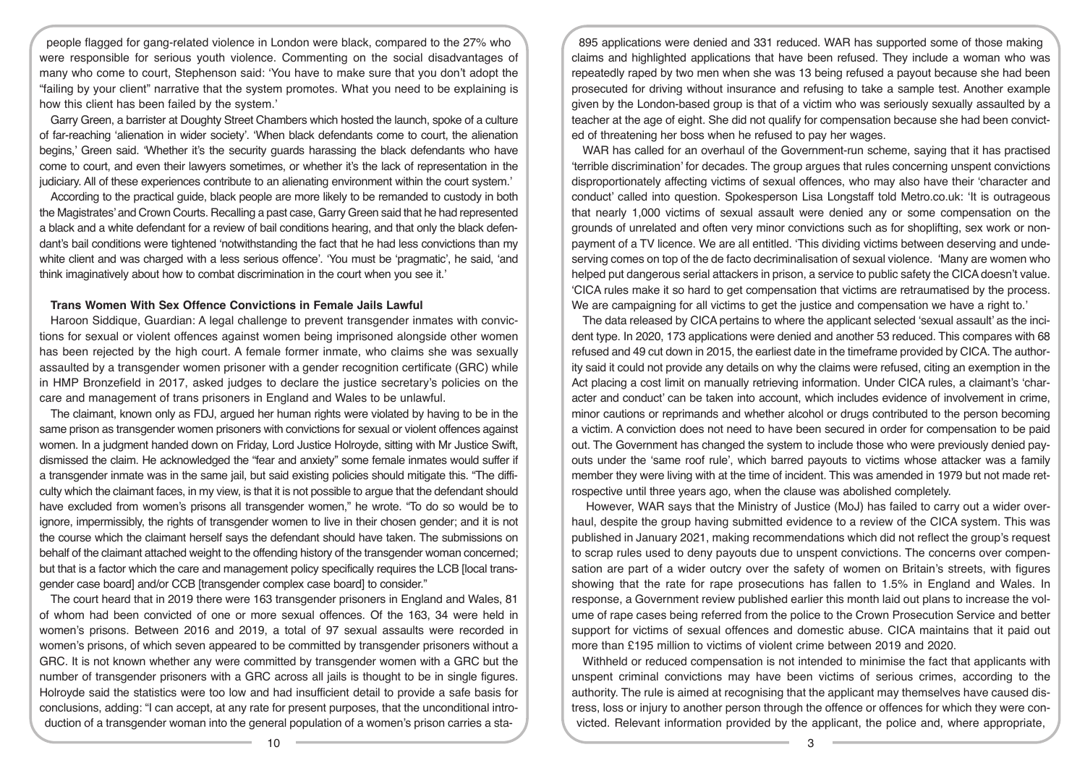people flagged for gang-related violence in London were black, compared to the 27% who were responsible for serious youth violence. Commenting on the social disadvantages of many who come to court, Stephenson said: 'You have to make sure that you don't adopt the "failing by your client" narrative that the system promotes. What you need to be explaining is how this client has been failed by the system.'

Garry Green, a barrister at Doughty Street Chambers which hosted the launch, spoke of a culture of far-reaching 'alienation in wider society'. 'When black defendants come to court, the alienation begins,' Green said. 'Whether it's the security guards harassing the black defendants who have come to court, and even their lawyers sometimes, or whether it's the lack of representation in the judiciary. All of these experiences contribute to an alienating environment within the court system.'

According to the practical guide, black people are more likely to be remanded to custody in both the Magistrates' and Crown Courts. Recalling a past case, Garry Green said that he had represented a black and a white defendant for a review of bail conditions hearing, and that only the black defendant's bail conditions were tightened 'notwithstanding the fact that he had less convictions than my white client and was charged with a less serious offence'. 'You must be 'pragmatic', he said, 'and think imaginatively about how to combat discrimination in the court when you see it.'

#### **Trans Women With Sex Offence Convictions in Female Jails Lawful**

Haroon Siddique, Guardian: A legal challenge to prevent transgender inmates with convictions for sexual or violent offences against women being imprisoned alongside other women has been rejected by the high court. A female former inmate, who claims she was sexually assaulted by a transgender women prisoner with a gender recognition certificate (GRC) while in HMP Bronzefield in 2017, asked judges to declare the justice secretary's policies on the care and management of trans prisoners in England and Wales to be unlawful.

The claimant, known only as FDJ, argued her human rights were violated by having to be in the same prison as transgender women prisoners with convictions for sexual or violent offences against women. In a judgment handed down on Friday, Lord Justice Holroyde, sitting with Mr Justice Swift, dismissed the claim. He acknowledged the "fear and anxiety" some female inmates would suffer if a transgender inmate was in the same jail, but said existing policies should mitigate this. "The difficulty which the claimant faces, in my view, is that it is not possible to argue that the defendant should have excluded from women's prisons all transgender women," he wrote. "To do so would be to ignore, impermissibly, the rights of transgender women to live in their chosen gender; and it is not the course which the claimant herself says the defendant should have taken. The submissions on behalf of the claimant attached weight to the offending history of the transgender woman concerned; but that is a factor which the care and management policy specifically requires the LCB [local transgender case board] and/or CCB [transgender complex case board] to consider."

The court heard that in 2019 there were 163 transgender prisoners in England and Wales, 81 of whom had been convicted of one or more sexual offences. Of the 163, 34 were held in women's prisons. Between 2016 and 2019, a total of 97 sexual assaults were recorded in women's prisons, of which seven appeared to be committed by transgender prisoners without a GRC. It is not known whether any were committed by transgender women with a GRC but the number of transgender prisoners with a GRC across all jails is thought to be in single figures. Holroyde said the statistics were too low and had insufficient detail to provide a safe basis for conclusions, adding: "I can accept, at any rate for present purposes, that the unconditional introduction of a transgender woman into the general population of a women's prison carries a sta-

895 applications were denied and 331 reduced. WAR has supported some of those making claims and highlighted applications that have been refused. They include a woman who was repeatedly raped by two men when she was 13 being refused a payout because she had been prosecuted for driving without insurance and refusing to take a sample test. Another example given by the London-based group is that of a victim who was seriously sexually assaulted by a teacher at the age of eight. She did not qualify for compensation because she had been convicted of threatening her boss when he refused to pay her wages.

WAR has called for an overhaul of the Government-run scheme, saying that it has practised 'terrible discrimination' for decades. The group argues that rules concerning unspent convictions disproportionately affecting victims of sexual offences, who may also have their 'character and conduct' called into question. Spokesperson Lisa Longstaff told Metro.co.uk: 'It is outrageous that nearly 1,000 victims of sexual assault were denied any or some compensation on the grounds of unrelated and often very minor convictions such as for shoplifting, sex work or nonpayment of a TV licence. We are all entitled. 'This dividing victims between deserving and undeserving comes on top of the de facto decriminalisation of sexual violence. 'Many are women who helped put dangerous serial attackers in prison, a service to public safety the CICA doesn't value. 'CICA rules make it so hard to get compensation that victims are retraumatised by the process. We are campaigning for all victims to get the justice and compensation we have a right to.'

The data released by CICA pertains to where the applicant selected 'sexual assault' as the incident type. In 2020, 173 applications were denied and another 53 reduced. This compares with 68 refused and 49 cut down in 2015, the earliest date in the timeframe provided by CICA. The authority said it could not provide any details on why the claims were refused, citing an exemption in the Act placing a cost limit on manually retrieving information. Under CICA rules, a claimant's 'character and conduct' can be taken into account, which includes evidence of involvement in crime, minor cautions or reprimands and whether alcohol or drugs contributed to the person becoming a victim. A conviction does not need to have been secured in order for compensation to be paid out. The Government has changed the system to include those who were previously denied payouts under the 'same roof rule', which barred payouts to victims whose attacker was a family member they were living with at the time of incident. This was amended in 1979 but not made retrospective until three years ago, when the clause was abolished completely.

 However, WAR says that the Ministry of Justice (MoJ) has failed to carry out a wider overhaul, despite the group having submitted evidence to a review of the CICA system. This was published in January 2021, making recommendations which did not reflect the group's request to scrap rules used to deny payouts due to unspent convictions. The concerns over compensation are part of a wider outcry over the safety of women on Britain's streets, with figures showing that the rate for rape prosecutions has fallen to 1.5% in England and Wales. In response, a Government review published earlier this month laid out plans to increase the volume of rape cases being referred from the police to the Crown Prosecution Service and better support for victims of sexual offences and domestic abuse. CICA maintains that it paid out more than £195 million to victims of violent crime between 2019 and 2020.

Withheld or reduced compensation is not intended to minimise the fact that applicants with unspent criminal convictions may have been victims of serious crimes, according to the authority. The rule is aimed at recognising that the applicant may themselves have caused distress, loss or injury to another person through the offence or offences for which they were convicted. Relevant information provided by the applicant, the police and, where appropriate,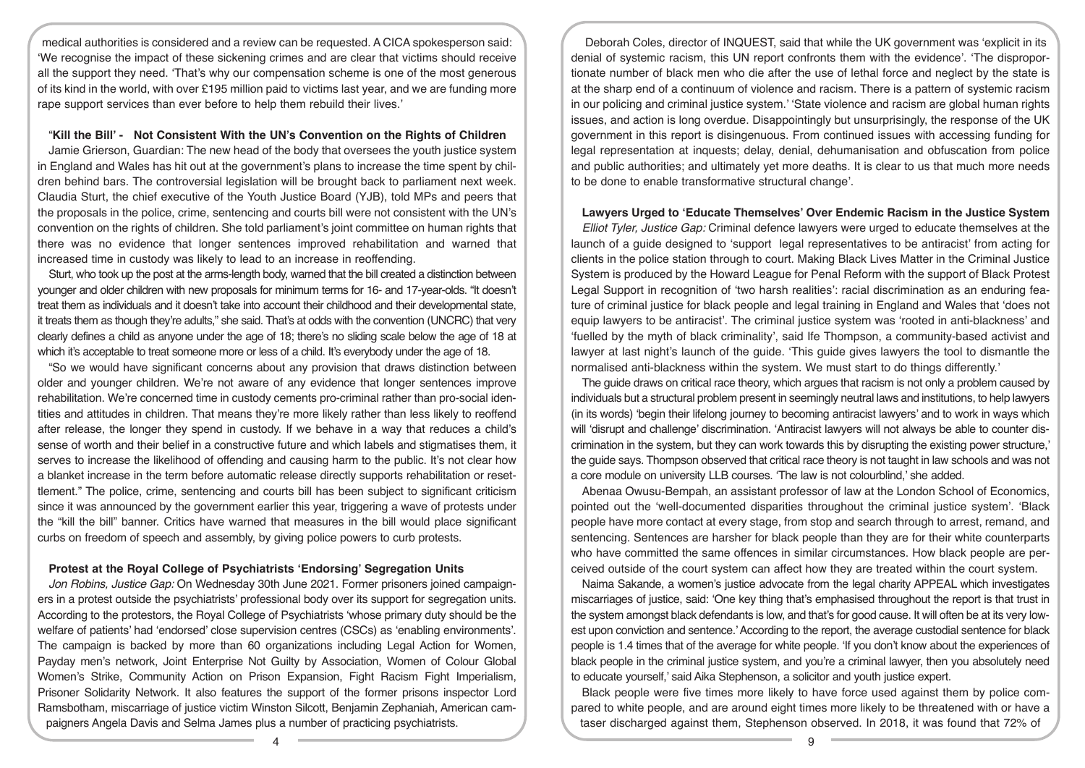medical authorities is considered and a review can be requested. A CICA spokesperson said: 'We recognise the impact of these sickening crimes and are clear that victims should receive all the support they need. 'That's why our compensation scheme is one of the most generous of its kind in the world, with over £195 million paid to victims last year, and we are funding more rape support services than ever before to help them rebuild their lives.'

#### "**Kill the Bill' - Not Consistent With the UN's Convention on the Rights of Children**

Jamie Grierson, Guardian: The new head of the body that oversees the youth justice system in England and Wales has hit out at the government's plans to increase the time spent by children behind bars. The controversial legislation will be brought back to parliament next week. Claudia Sturt, the chief executive of the Youth Justice Board (YJB), told MPs and peers that the proposals in the police, crime, sentencing and courts bill were not consistent with the UN's convention on the rights of children. She told parliament's joint committee on human rights that there was no evidence that longer sentences improved rehabilitation and warned that increased time in custody was likely to lead to an increase in reoffending.

Sturt, who took up the post at the arms-length body, warned that the bill created a distinction between younger and older children with new proposals for minimum terms for 16- and 17-year-olds. "It doesn't treat them as individuals and it doesn't take into account their childhood and their developmental state, it treats them as though they're adults," she said. That's at odds with the convention (UNCRC) that very clearly defines a child as anyone under the age of 18; there's no sliding scale below the age of 18 at which it's acceptable to treat someone more or less of a child. It's everybody under the age of 18.

"So we would have significant concerns about any provision that draws distinction between older and younger children. We're not aware of any evidence that longer sentences improve rehabilitation. We're concerned time in custody cements pro-criminal rather than pro-social identities and attitudes in children. That means they're more likely rather than less likely to reoffend after release, the longer they spend in custody. If we behave in a way that reduces a child's sense of worth and their belief in a constructive future and which labels and stigmatises them, it serves to increase the likelihood of offending and causing harm to the public. It's not clear how a blanket increase in the term before automatic release directly supports rehabilitation or resettlement." The police, crime, sentencing and courts bill has been subject to significant criticism since it was announced by the government earlier this year, triggering a wave of protests under the "kill the bill" banner. Critics have warned that measures in the bill would place significant curbs on freedom of speech and assembly, by giving police powers to curb protests.

# **Protest at the Royal College of Psychiatrists 'Endorsing' Segregation Units**

*Jon Robins, Justice Gap:* On Wednesday 30th June 2021. Former prisoners joined campaigners in a protest outside the psychiatrists' professional body over its support for segregation units. According to the protestors, the Royal College of Psychiatrists 'whose primary duty should be the welfare of patients' had 'endorsed' close supervision centres (CSCs) as 'enabling environments'. The campaign is backed by more than 60 organizations including Legal Action for Women, Payday men's network, Joint Enterprise Not Guilty by Association, Women of Colour Global Women's Strike, Community Action on Prison Expansion, Fight Racism Fight Imperialism, Prisoner Solidarity Network. It also features the support of the former prisons inspector Lord Ramsbotham, miscarriage of justice victim Winston Silcott, Benjamin Zephaniah, American campaigners Angela Davis and Selma James plus a number of practicing psychiatrists.

Deborah Coles, director of INQUEST, said that while the UK government was 'explicit in its denial of systemic racism, this UN report confronts them with the evidence'. 'The disproportionate number of black men who die after the use of lethal force and neglect by the state is at the sharp end of a continuum of violence and racism. There is a pattern of systemic racism in our policing and criminal justice system.' 'State violence and racism are global human rights issues, and action is long overdue. Disappointingly but unsurprisingly, the response of the UK government in this report is disingenuous. From continued issues with accessing funding for legal representation at inquests; delay, denial, dehumanisation and obfuscation from police and public authorities; and ultimately yet more deaths. It is clear to us that much more needs to be done to enable transformative structural change'.

#### **Lawyers Urged to 'Educate Themselves' Over Endemic Racism in the Justice System**

*Elliot Tyler, Justice Gap:* Criminal defence lawyers were urged to educate themselves at the launch of a guide designed to 'support legal representatives to be antiracist' from acting for clients in the police station through to court. Making Black Lives Matter in the Criminal Justice System is produced by the Howard League for Penal Reform with the support of Black Protest Legal Support in recognition of 'two harsh realities': racial discrimination as an enduring feature of criminal justice for black people and legal training in England and Wales that 'does not equip lawyers to be antiracist'. The criminal justice system was 'rooted in anti-blackness' and 'fuelled by the myth of black criminality', said Ife Thompson, a community-based activist and lawyer at last night's launch of the guide. 'This guide gives lawyers the tool to dismantle the normalised anti-blackness within the system. We must start to do things differently.'

The guide draws on critical race theory, which argues that racism is not only a problem caused by individuals but a structural problem present in seemingly neutral laws and institutions, to help lawyers (in its words) 'begin their lifelong journey to becoming antiracist lawyers' and to work in ways which will 'disrupt and challenge' discrimination. 'Antiracist lawyers will not always be able to counter discrimination in the system, but they can work towards this by disrupting the existing power structure,' the guide says. Thompson observed that critical race theory is not taught in law schools and was not a core module on university LLB courses. 'The law is not colourblind,' she added.

Abenaa Owusu-Bempah, an assistant professor of law at the London School of Economics, pointed out the 'well-documented disparities throughout the criminal justice system'. 'Black people have more contact at every stage, from stop and search through to arrest, remand, and sentencing. Sentences are harsher for black people than they are for their white counterparts who have committed the same offences in similar circumstances. How black people are perceived outside of the court system can affect how they are treated within the court system.

Naima Sakande, a women's justice advocate from the legal charity APPEAL which investigates miscarriages of justice, said: 'One key thing that's emphasised throughout the report is that trust in the system amongst black defendants is low, and that's for good cause. It will often be at its very lowest upon conviction and sentence.' According to the report, the average custodial sentence for black people is 1.4 times that of the average for white people. 'If you don't know about the experiences of black people in the criminal justice system, and you're a criminal lawyer, then you absolutely need to educate yourself,' said Aika Stephenson, a solicitor and youth justice expert.

Black people were five times more likely to have force used against them by police compared to white people, and are around eight times more likely to be threatened with or have a taser discharged against them, Stephenson observed. In 2018, it was found that 72% of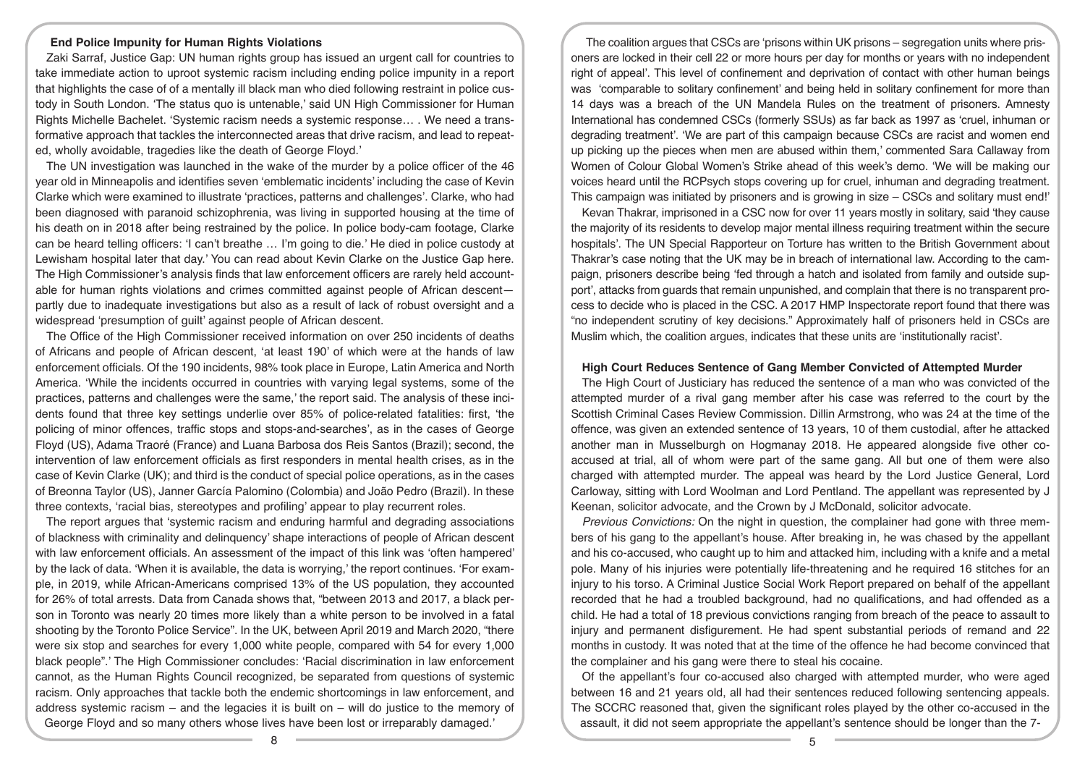# **End Police Impunity for Human Rights Violations**

Zaki Sarraf, Justice Gap: UN human rights group has issued an urgent call for countries to take immediate action to uproot systemic racism including ending police impunity in a report that highlights the case of of a mentally ill black man who died following restraint in police custody in South London. 'The status quo is untenable,' said UN High Commissioner for Human Rights Michelle Bachelet. 'Systemic racism needs a systemic response… . We need a transformative approach that tackles the interconnected areas that drive racism, and lead to repeated, wholly avoidable, tragedies like the death of George Floyd.'

The UN investigation was launched in the wake of the murder by a police officer of the 46 year old in Minneapolis and identifies seven 'emblematic incidents' including the case of Kevin Clarke which were examined to illustrate 'practices, patterns and challenges'. Clarke, who had been diagnosed with paranoid schizophrenia, was living in supported housing at the time of his death on in 2018 after being restrained by the police. In police body-cam footage, Clarke can be heard telling officers: 'I can't breathe … I'm going to die.' He died in police custody at Lewisham hospital later that day.' You can read about Kevin Clarke on the Justice Gap here. The High Commissioner's analysis finds that law enforcement officers are rarely held accountable for human rights violations and crimes committed against people of African descent partly due to inadequate investigations but also as a result of lack of robust oversight and a widespread 'presumption of guilt' against people of African descent.

The Office of the High Commissioner received information on over 250 incidents of deaths of Africans and people of African descent, 'at least 190' of which were at the hands of law enforcement officials. Of the 190 incidents, 98% took place in Europe, Latin America and North America. 'While the incidents occurred in countries with varying legal systems, some of the practices, patterns and challenges were the same,' the report said. The analysis of these incidents found that three key settings underlie over 85% of police-related fatalities: first, 'the policing of minor offences, traffic stops and stops-and-searches', as in the cases of George Floyd (US), Adama Traoré (France) and Luana Barbosa dos Reis Santos (Brazil); second, the intervention of law enforcement officials as first responders in mental health crises, as in the case of Kevin Clarke (UK); and third is the conduct of special police operations, as in the cases of Breonna Taylor (US), Janner García Palomino (Colombia) and João Pedro (Brazil). In these three contexts, 'racial bias, stereotypes and profiling' appear to play recurrent roles.

The report argues that 'systemic racism and enduring harmful and degrading associations of blackness with criminality and delinquency' shape interactions of people of African descent with law enforcement officials. An assessment of the impact of this link was 'often hampered' by the lack of data. 'When it is available, the data is worrying,' the report continues. 'For example, in 2019, while African-Americans comprised 13% of the US population, they accounted for 26% of total arrests. Data from Canada shows that, "between 2013 and 2017, a black person in Toronto was nearly 20 times more likely than a white person to be involved in a fatal shooting by the Toronto Police Service". In the UK, between April 2019 and March 2020, "there were six stop and searches for every 1,000 white people, compared with 54 for every 1,000 black people".' The High Commissioner concludes: 'Racial discrimination in law enforcement cannot, as the Human Rights Council recognized, be separated from questions of systemic racism. Only approaches that tackle both the endemic shortcomings in law enforcement, and address systemic racism – and the legacies it is built on – will do justice to the memory of George Floyd and so many others whose lives have been lost or irreparably damaged.'

The coalition argues that CSCs are 'prisons within UK prisons – segregation units where prisoners are locked in their cell 22 or more hours per day for months or years with no independent right of appeal'. This level of confinement and deprivation of contact with other human beings was 'comparable to solitary confinement' and being held in solitary confinement for more than 14 days was a breach of the UN Mandela Rules on the treatment of prisoners. Amnesty International has condemned CSCs (formerly SSUs) as far back as 1997 as 'cruel, inhuman or degrading treatment'. 'We are part of this campaign because CSCs are racist and women end up picking up the pieces when men are abused within them,' commented Sara Callaway from Women of Colour Global Women's Strike ahead of this week's demo. 'We will be making our voices heard until the RCPsych stops covering up for cruel, inhuman and degrading treatment. This campaign was initiated by prisoners and is growing in size – CSCs and solitary must end!'

Kevan Thakrar, imprisoned in a CSC now for over 11 years mostly in solitary, said 'they cause the majority of its residents to develop major mental illness requiring treatment within the secure hospitals'. The UN Special Rapporteur on Torture has written to the British Government about Thakrar's case noting that the UK may be in breach of international law. According to the campaign, prisoners describe being 'fed through a hatch and isolated from family and outside support', attacks from guards that remain unpunished, and complain that there is no transparent process to decide who is placed in the CSC. A 2017 HMP Inspectorate report found that there was "no independent scrutiny of key decisions." Approximately half of prisoners held in CSCs are Muslim which, the coalition argues, indicates that these units are 'institutionally racist'.

#### **High Court Reduces Sentence of Gang Member Convicted of Attempted Murder**

The High Court of Justiciary has reduced the sentence of a man who was convicted of the attempted murder of a rival gang member after his case was referred to the court by the Scottish Criminal Cases Review Commission. Dillin Armstrong, who was 24 at the time of the offence, was given an extended sentence of 13 years, 10 of them custodial, after he attacked another man in Musselburgh on Hogmanay 2018. He appeared alongside five other coaccused at trial, all of whom were part of the same gang. All but one of them were also charged with attempted murder. The appeal was heard by the Lord Justice General, Lord Carloway, sitting with Lord Woolman and Lord Pentland. The appellant was represented by J Keenan, solicitor advocate, and the Crown by J McDonald, solicitor advocate.

*Previous Convictions:* On the night in question, the complainer had gone with three members of his gang to the appellant's house. After breaking in, he was chased by the appellant and his co-accused, who caught up to him and attacked him, including with a knife and a metal pole. Many of his injuries were potentially life-threatening and he required 16 stitches for an injury to his torso. A Criminal Justice Social Work Report prepared on behalf of the appellant recorded that he had a troubled background, had no qualifications, and had offended as a child. He had a total of 18 previous convictions ranging from breach of the peace to assault to injury and permanent disfigurement. He had spent substantial periods of remand and 22 months in custody. It was noted that at the time of the offence he had become convinced that the complainer and his gang were there to steal his cocaine.

Of the appellant's four co-accused also charged with attempted murder, who were aged between 16 and 21 years old, all had their sentences reduced following sentencing appeals. The SCCRC reasoned that, given the significant roles played by the other co-accused in the assault, it did not seem appropriate the appellant's sentence should be longer than the 7-